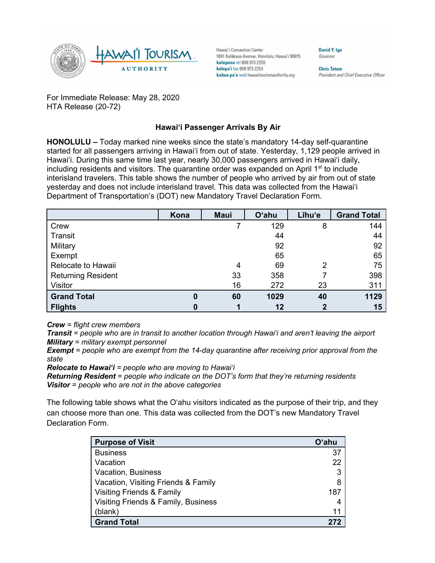

Hawai'i Convention Center 1801 Kalākaua Avenue, Honolulu, Hawai'i 96815 kelepona tel 808 973 2255 kelepa'i fax 808 973 2253 kahua pa'a web hawaiitourismauthority.org

**Chris Tatum** President and Chief Executive Officer

**David V Ine** 

Governor

For Immediate Release: May 28, 2020 HTA Release (20-72)

## **Hawai'i Passenger Arrivals By Air**

**HONOLULU –** Today marked nine weeks since the state's mandatory 14-day self-quarantine started for all passengers arriving in Hawai'i from out of state. Yesterday, 1,129 people arrived in Hawai'i. During this same time last year, nearly 30,000 passengers arrived in Hawai'i daily, including residents and visitors. The quarantine order was expanded on April  $1<sup>st</sup>$  to include interisland travelers. This table shows the number of people who arrived by air from out of state yesterday and does not include interisland travel. This data was collected from the Hawai'i Department of Transportation's (DOT) new Mandatory Travel Declaration Form.

|                           | Kona     | <b>Maui</b> | <b>O'ahu</b> | Līhu'e | <b>Grand Total</b> |
|---------------------------|----------|-------------|--------------|--------|--------------------|
| Crew                      |          |             | 129          | 8      | 144                |
| Transit                   |          |             | 44           |        | 44                 |
| Military                  |          |             | 92           |        | 92                 |
| Exempt                    |          |             | 65           |        | 65                 |
| Relocate to Hawaii        |          | 4           | 69           | 2      | 75                 |
| <b>Returning Resident</b> |          | 33          | 358          |        | 398                |
| Visitor                   |          | 16          | 272          | 23     | 311                |
| <b>Grand Total</b>        | $\bf{0}$ | 60          | 1029         | 40     | 1129               |
| <b>Flights</b>            | 0        |             | 12           |        | 15                 |

*Crew = flight crew members*

*Transit = people who are in transit to another location through Hawai'i and aren't leaving the airport Military = military exempt personnel*

*Exempt = people who are exempt from the 14-day quarantine after receiving prior approval from the state*

*Relocate to Hawai'i = people who are moving to Hawai'i*

*Returning Resident = people who indicate on the DOT's form that they're returning residents Visitor = people who are not in the above categories*

The following table shows what the O'ahu visitors indicated as the purpose of their trip, and they can choose more than one. This data was collected from the DOT's new Mandatory Travel Declaration Form.

| <b>Purpose of Visit</b>              | Oʻahu |
|--------------------------------------|-------|
| <b>Business</b>                      | 37    |
| Vacation                             | 22    |
| Vacation, Business                   | 3     |
| Vacation, Visiting Friends & Family  | 8     |
| <b>Visiting Friends &amp; Family</b> | 187   |
| Visiting Friends & Family, Business  | 4     |
| (blank)                              | 11    |
| <b>Grand Total</b>                   |       |